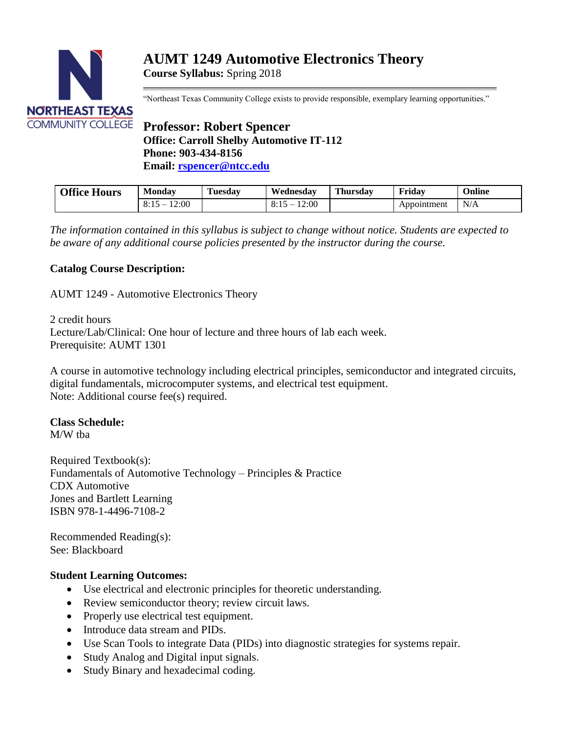

"Northeast Texas Community College exists to provide responsible, exemplary learning opportunities."

# **Professor: Robert Spencer Office: Carroll Shelby Automotive IT-112 Phone: 903-434-8156 Email: [rspencer@ntcc.edu](mailto:rspencer@ntcc.edu)**

| <b>Office Hours</b> | Monday      | . .<br>Tuesday | Wednesdav  | <b>Thursday</b> | Friday      | $\bullet$<br>Jnline |
|---------------------|-------------|----------------|------------|-----------------|-------------|---------------------|
|                     | . 2:00<br>_ |                | 12:00<br>_ |                 | Appointment | N/A                 |

*The information contained in this syllabus is subject to change without notice. Students are expected to be aware of any additional course policies presented by the instructor during the course.*

### **Catalog Course Description:**

AUMT 1249 - Automotive Electronics Theory

2 credit hours Lecture/Lab/Clinical: One hour of lecture and three hours of lab each week. Prerequisite: AUMT 1301

A course in automotive technology including electrical principles, semiconductor and integrated circuits, digital fundamentals, microcomputer systems, and electrical test equipment. Note: Additional course fee(s) required.

### **Class Schedule:**

M/W tba

Required Textbook(s): Fundamentals of Automotive Technology – Principles & Practice CDX Automotive Jones and Bartlett Learning ISBN 978-1-4496-7108-2

Recommended Reading(s): See: Blackboard

### **Student Learning Outcomes:**

- Use electrical and electronic principles for theoretic understanding.
- Review semiconductor theory; review circuit laws.
- Properly use electrical test equipment.
- Introduce data stream and PIDs.
- Use Scan Tools to integrate Data (PIDs) into diagnostic strategies for systems repair.
- Study Analog and Digital input signals.
- Study Binary and hexadecimal coding.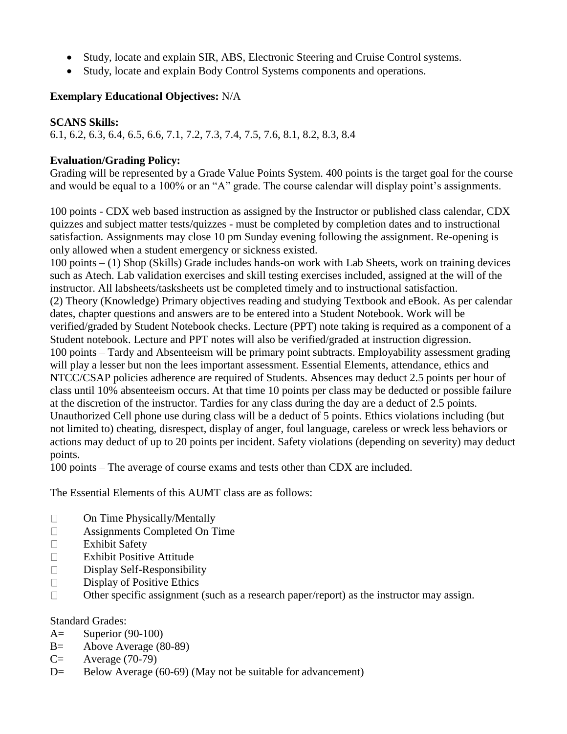- Study, locate and explain SIR, ABS, Electronic Steering and Cruise Control systems.
- Study, locate and explain Body Control Systems components and operations.

### **Exemplary Educational Objectives:** N/A

#### **SCANS Skills:**

6.1, 6.2, 6.3, 6.4, 6.5, 6.6, 7.1, 7.2, 7.3, 7.4, 7.5, 7.6, 8.1, 8.2, 8.3, 8.4

### **Evaluation/Grading Policy:**

Grading will be represented by a Grade Value Points System. 400 points is the target goal for the course and would be equal to a 100% or an "A" grade. The course calendar will display point's assignments.

100 points - CDX web based instruction as assigned by the Instructor or published class calendar, CDX quizzes and subject matter tests/quizzes - must be completed by completion dates and to instructional satisfaction. Assignments may close 10 pm Sunday evening following the assignment. Re-opening is only allowed when a student emergency or sickness existed.

100 points – (1) Shop (Skills) Grade includes hands-on work with Lab Sheets, work on training devices such as Atech. Lab validation exercises and skill testing exercises included, assigned at the will of the instructor. All labsheets/tasksheets ust be completed timely and to instructional satisfaction. (2) Theory (Knowledge) Primary objectives reading and studying Textbook and eBook. As per calendar dates, chapter questions and answers are to be entered into a Student Notebook. Work will be verified/graded by Student Notebook checks. Lecture (PPT) note taking is required as a component of a Student notebook. Lecture and PPT notes will also be verified/graded at instruction digression. 100 points – Tardy and Absenteeism will be primary point subtracts. Employability assessment grading will play a lesser but non the lees important assessment. Essential Elements, attendance, ethics and NTCC/CSAP policies adherence are required of Students. Absences may deduct 2.5 points per hour of class until 10% absenteeism occurs. At that time 10 points per class may be deducted or possible failure at the discretion of the instructor. Tardies for any class during the day are a deduct of 2.5 points. Unauthorized Cell phone use during class will be a deduct of 5 points. Ethics violations including (but not limited to) cheating, disrespect, display of anger, foul language, careless or wreck less behaviors or actions may deduct of up to 20 points per incident. Safety violations (depending on severity) may deduct points.

100 points – The average of course exams and tests other than CDX are included.

The Essential Elements of this AUMT class are as follows:

- $\Box$ On Time Physically/Mentally
- $\Box$ Assignments Completed On Time
- $\Box$ Exhibit Safety
- $\Box$ Exhibit Positive Attitude
- Display Self-Responsibility  $\Box$
- $\Box$ Display of Positive Ethics
- $\Box$ Other specific assignment (such as a research paper/report) as the instructor may assign.

Standard Grades:

- A= Superior (90-100)
- B= Above Average (80-89)
- $C=$  Average (70-79)
- D= Below Average (60-69) (May not be suitable for advancement)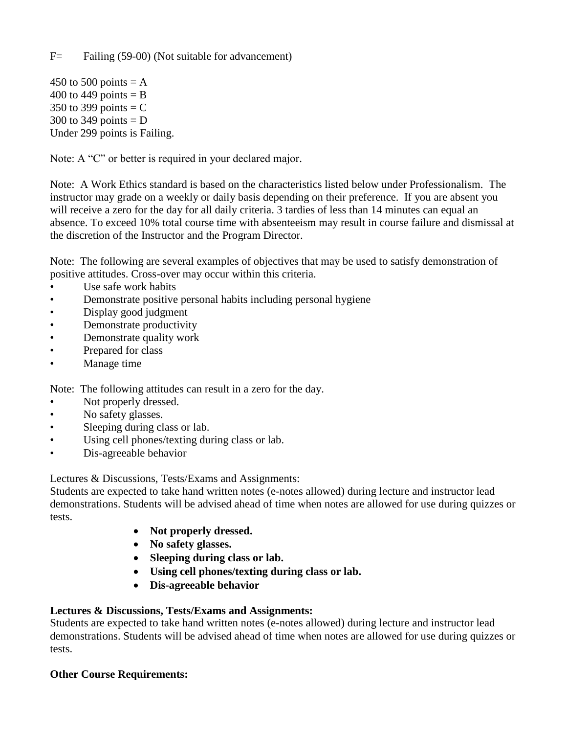450 to 500 points  $= A$ 400 to 449 points  $=$  B 350 to 399 points  $= C$ 300 to 349 points  $= D$ Under 299 points is Failing.

Note: A "C" or better is required in your declared major.

Note: A Work Ethics standard is based on the characteristics listed below under Professionalism. The instructor may grade on a weekly or daily basis depending on their preference. If you are absent you will receive a zero for the day for all daily criteria. 3 tardies of less than 14 minutes can equal an absence. To exceed 10% total course time with absenteeism may result in course failure and dismissal at the discretion of the Instructor and the Program Director.

Note: The following are several examples of objectives that may be used to satisfy demonstration of positive attitudes. Cross-over may occur within this criteria.

- Use safe work habits
- Demonstrate positive personal habits including personal hygiene
- Display good judgment
- Demonstrate productivity
- Demonstrate quality work
- Prepared for class
- Manage time

Note: The following attitudes can result in a zero for the day.

- Not properly dressed.
- No safety glasses.
- Sleeping during class or lab.
- Using cell phones/texting during class or lab.
- Dis-agreeable behavior

Lectures & Discussions, Tests/Exams and Assignments:

Students are expected to take hand written notes (e-notes allowed) during lecture and instructor lead demonstrations. Students will be advised ahead of time when notes are allowed for use during quizzes or tests.

- Not properly dressed.
- **No safety glasses.**
- **Sleeping during class or lab.**
- **Using cell phones/texting during class or lab.**
- **Dis-agreeable behavior**

### **Lectures & Discussions, Tests/Exams and Assignments:**

Students are expected to take hand written notes (e-notes allowed) during lecture and instructor lead demonstrations. Students will be advised ahead of time when notes are allowed for use during quizzes or tests.

### **Other Course Requirements:**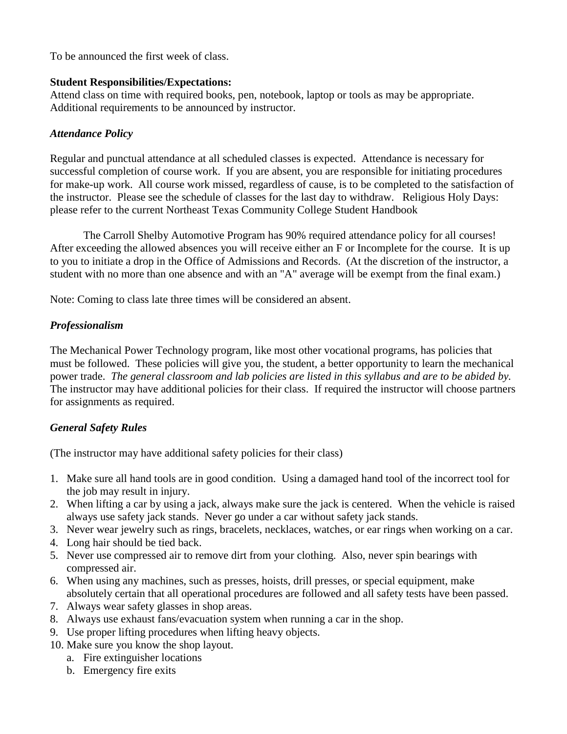To be announced the first week of class.

#### **Student Responsibilities/Expectations:**

Attend class on time with required books, pen, notebook, laptop or tools as may be appropriate. Additional requirements to be announced by instructor.

### *Attendance Policy*

Regular and punctual attendance at all scheduled classes is expected. Attendance is necessary for successful completion of course work. If you are absent, you are responsible for initiating procedures for make-up work. All course work missed, regardless of cause, is to be completed to the satisfaction of the instructor. Please see the schedule of classes for the last day to withdraw. Religious Holy Days: please refer to the current Northeast Texas Community College Student Handbook

The Carroll Shelby Automotive Program has 90% required attendance policy for all courses! After exceeding the allowed absences you will receive either an F or Incomplete for the course. It is up to you to initiate a drop in the Office of Admissions and Records. (At the discretion of the instructor, a student with no more than one absence and with an "A" average will be exempt from the final exam.)

Note: Coming to class late three times will be considered an absent.

### *Professionalism*

The Mechanical Power Technology program, like most other vocational programs, has policies that must be followed. These policies will give you, the student, a better opportunity to learn the mechanical power trade. *The general classroom and lab policies are listed in this syllabus and are to be abided by.*  The instructor may have additional policies for their class. If required the instructor will choose partners for assignments as required.

### *General Safety Rules*

(The instructor may have additional safety policies for their class)

- 1. Make sure all hand tools are in good condition. Using a damaged hand tool of the incorrect tool for the job may result in injury.
- 2. When lifting a car by using a jack, always make sure the jack is centered. When the vehicle is raised always use safety jack stands. Never go under a car without safety jack stands.
- 3. Never wear jewelry such as rings, bracelets, necklaces, watches, or ear rings when working on a car.
- 4. Long hair should be tied back.
- 5. Never use compressed air to remove dirt from your clothing. Also, never spin bearings with compressed air.
- 6. When using any machines, such as presses, hoists, drill presses, or special equipment, make absolutely certain that all operational procedures are followed and all safety tests have been passed.
- 7. Always wear safety glasses in shop areas.
- 8. Always use exhaust fans/evacuation system when running a car in the shop.
- 9. Use proper lifting procedures when lifting heavy objects.
- 10. Make sure you know the shop layout.
	- a. Fire extinguisher locations
	- b. Emergency fire exits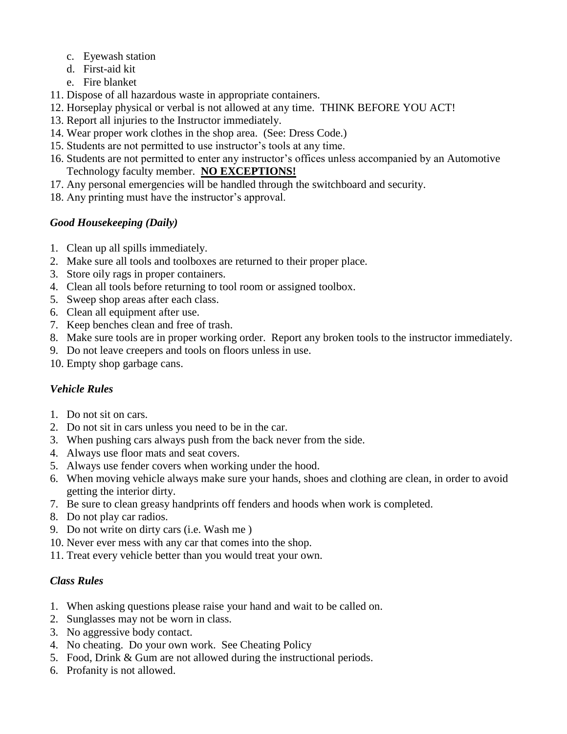- c. Eyewash station
- d. First-aid kit
- e. Fire blanket
- 11. Dispose of all hazardous waste in appropriate containers.
- 12. Horseplay physical or verbal is not allowed at any time. THINK BEFORE YOU ACT!
- 13. Report all injuries to the Instructor immediately.
- 14. Wear proper work clothes in the shop area. (See: Dress Code.)
- 15. Students are not permitted to use instructor's tools at any time.
- 16. Students are not permitted to enter any instructor's offices unless accompanied by an Automotive Technology faculty member. **NO EXCEPTIONS!**
- 17. Any personal emergencies will be handled through the switchboard and security.
- 18. Any printing must have the instructor's approval.

## *Good Housekeeping (Daily)*

- 1. Clean up all spills immediately.
- 2. Make sure all tools and toolboxes are returned to their proper place.
- 3. Store oily rags in proper containers.
- 4. Clean all tools before returning to tool room or assigned toolbox.
- 5. Sweep shop areas after each class.
- 6. Clean all equipment after use.
- 7. Keep benches clean and free of trash.
- 8. Make sure tools are in proper working order. Report any broken tools to the instructor immediately.
- 9. Do not leave creepers and tools on floors unless in use.
- 10. Empty shop garbage cans.

# *Vehicle Rules*

- 1. Do not sit on cars.
- 2. Do not sit in cars unless you need to be in the car.
- 3. When pushing cars always push from the back never from the side.
- 4. Always use floor mats and seat covers.
- 5. Always use fender covers when working under the hood.
- 6. When moving vehicle always make sure your hands, shoes and clothing are clean, in order to avoid getting the interior dirty.
- 7. Be sure to clean greasy handprints off fenders and hoods when work is completed.
- 8. Do not play car radios.
- 9. Do not write on dirty cars (i.e. Wash me )
- 10. Never ever mess with any car that comes into the shop.
- 11. Treat every vehicle better than you would treat your own.

## *Class Rules*

- 1. When asking questions please raise your hand and wait to be called on.
- 2. Sunglasses may not be worn in class.
- 3. No aggressive body contact.
- 4. No cheating. Do your own work. See Cheating Policy
- 5. Food, Drink & Gum are not allowed during the instructional periods.
- 6. Profanity is not allowed.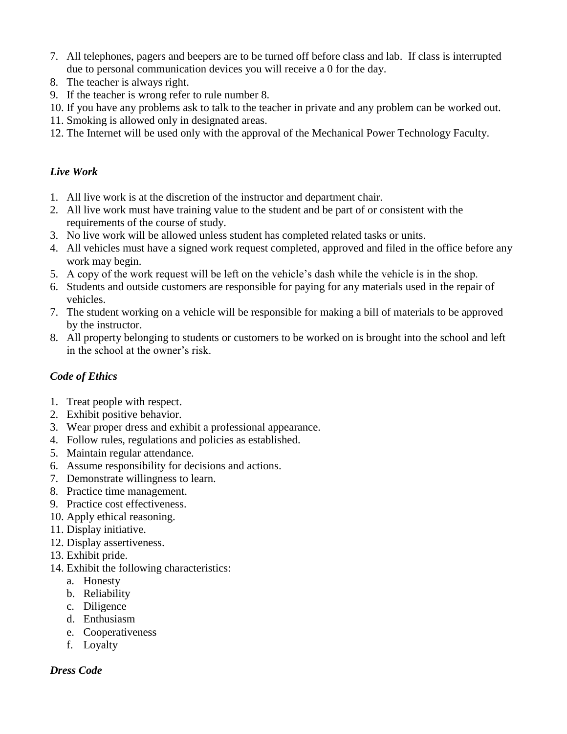- 7. All telephones, pagers and beepers are to be turned off before class and lab. If class is interrupted due to personal communication devices you will receive a 0 for the day.
- 8. The teacher is always right.
- 9. If the teacher is wrong refer to rule number 8.
- 10. If you have any problems ask to talk to the teacher in private and any problem can be worked out.
- 11. Smoking is allowed only in designated areas.
- 12. The Internet will be used only with the approval of the Mechanical Power Technology Faculty.

### *Live Work*

- 1. All live work is at the discretion of the instructor and department chair.
- 2. All live work must have training value to the student and be part of or consistent with the requirements of the course of study.
- 3. No live work will be allowed unless student has completed related tasks or units.
- 4. All vehicles must have a signed work request completed, approved and filed in the office before any work may begin.
- 5. A copy of the work request will be left on the vehicle's dash while the vehicle is in the shop.
- 6. Students and outside customers are responsible for paying for any materials used in the repair of vehicles.
- 7. The student working on a vehicle will be responsible for making a bill of materials to be approved by the instructor.
- 8. All property belonging to students or customers to be worked on is brought into the school and left in the school at the owner's risk.

## *Code of Ethics*

- 1. Treat people with respect.
- 2. Exhibit positive behavior.
- 3. Wear proper dress and exhibit a professional appearance.
- 4. Follow rules, regulations and policies as established.
- 5. Maintain regular attendance.
- 6. Assume responsibility for decisions and actions.
- 7. Demonstrate willingness to learn.
- 8. Practice time management.
- 9. Practice cost effectiveness.
- 10. Apply ethical reasoning.
- 11. Display initiative.
- 12. Display assertiveness.
- 13. Exhibit pride.
- 14. Exhibit the following characteristics:
	- a. Honesty
	- b. Reliability
	- c. Diligence
	- d. Enthusiasm
	- e. Cooperativeness
	- f. Loyalty

## *Dress Code*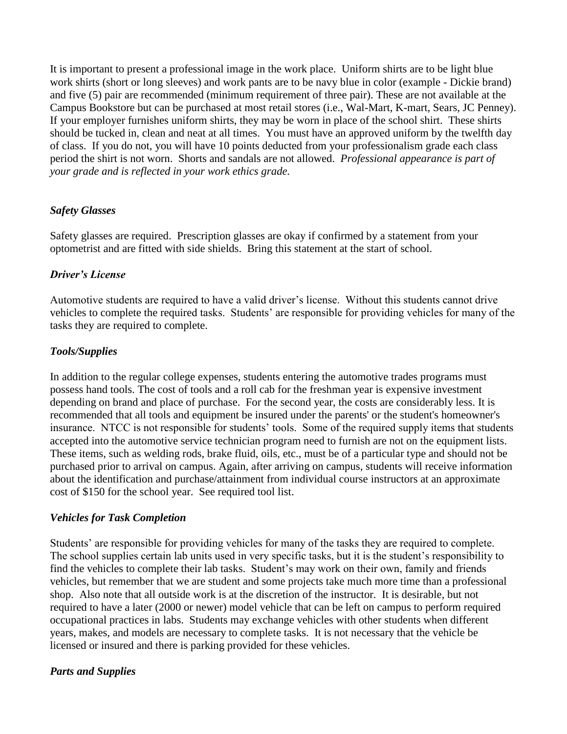It is important to present a professional image in the work place. Uniform shirts are to be light blue work shirts (short or long sleeves) and work pants are to be navy blue in color (example - Dickie brand) and five (5) pair are recommended (minimum requirement of three pair). These are not available at the Campus Bookstore but can be purchased at most retail stores (i.e., Wal-Mart, K-mart, Sears, JC Penney). If your employer furnishes uniform shirts, they may be worn in place of the school shirt. These shirts should be tucked in, clean and neat at all times. You must have an approved uniform by the twelfth day of class. If you do not, you will have 10 points deducted from your professionalism grade each class period the shirt is not worn. Shorts and sandals are not allowed. *Professional appearance is part of your grade and is reflected in your work ethics grade.*

### *Safety Glasses*

Safety glasses are required. Prescription glasses are okay if confirmed by a statement from your optometrist and are fitted with side shields. Bring this statement at the start of school.

#### *Driver's License*

Automotive students are required to have a valid driver's license. Without this students cannot drive vehicles to complete the required tasks. Students' are responsible for providing vehicles for many of the tasks they are required to complete.

### *Tools/Supplies*

In addition to the regular college expenses, students entering the automotive trades programs must possess hand tools. The cost of tools and a roll cab for the freshman year is expensive investment depending on brand and place of purchase. For the second year, the costs are considerably less. It is recommended that all tools and equipment be insured under the parents' or the student's homeowner's insurance. NTCC is not responsible for students' tools. Some of the required supply items that students accepted into the automotive service technician program need to furnish are not on the equipment lists. These items, such as welding rods, brake fluid, oils, etc., must be of a particular type and should not be purchased prior to arrival on campus. Again, after arriving on campus, students will receive information about the identification and purchase/attainment from individual course instructors at an approximate cost of \$150 for the school year. See required tool list.

### *Vehicles for Task Completion*

Students' are responsible for providing vehicles for many of the tasks they are required to complete. The school supplies certain lab units used in very specific tasks, but it is the student's responsibility to find the vehicles to complete their lab tasks. Student's may work on their own, family and friends vehicles, but remember that we are student and some projects take much more time than a professional shop. Also note that all outside work is at the discretion of the instructor. It is desirable, but not required to have a later (2000 or newer) model vehicle that can be left on campus to perform required occupational practices in labs. Students may exchange vehicles with other students when different years, makes, and models are necessary to complete tasks. It is not necessary that the vehicle be licensed or insured and there is parking provided for these vehicles.

### *Parts and Supplies*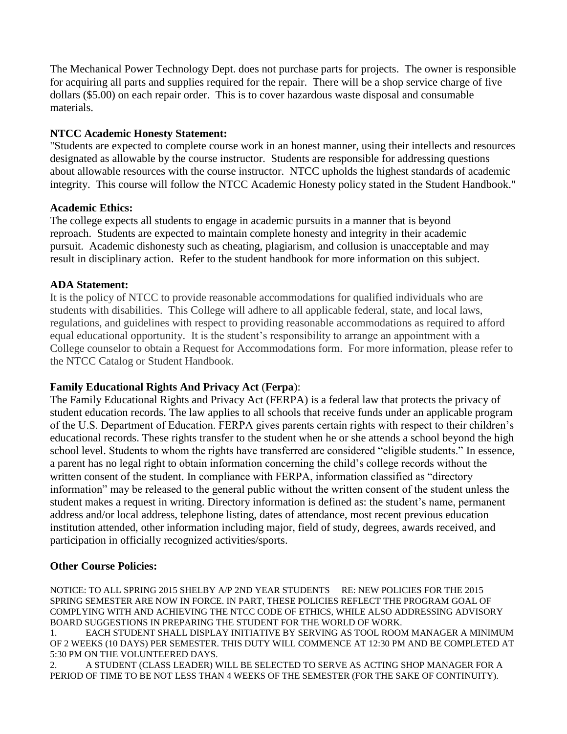The Mechanical Power Technology Dept. does not purchase parts for projects. The owner is responsible for acquiring all parts and supplies required for the repair. There will be a shop service charge of five dollars (\$5.00) on each repair order. This is to cover hazardous waste disposal and consumable materials.

#### **NTCC Academic Honesty Statement:**

"Students are expected to complete course work in an honest manner, using their intellects and resources designated as allowable by the course instructor. Students are responsible for addressing questions about allowable resources with the course instructor. NTCC upholds the highest standards of academic integrity. This course will follow the NTCC Academic Honesty policy stated in the Student Handbook."

#### **Academic Ethics:**

The college expects all students to engage in academic pursuits in a manner that is beyond reproach. Students are expected to maintain complete honesty and integrity in their academic pursuit. Academic dishonesty such as cheating, plagiarism, and collusion is unacceptable and may result in disciplinary action. Refer to the student handbook for more information on this subject.

#### **ADA Statement:**

It is the policy of NTCC to provide reasonable accommodations for qualified individuals who are students with disabilities. This College will adhere to all applicable federal, state, and local laws, regulations, and guidelines with respect to providing reasonable accommodations as required to afford equal educational opportunity. It is the student's responsibility to arrange an appointment with a College counselor to obtain a Request for Accommodations form. For more information, please refer to the NTCC Catalog or Student Handbook.

### **Family Educational Rights And Privacy Act** (**Ferpa**):

The Family Educational Rights and Privacy Act (FERPA) is a federal law that protects the privacy of student education records. The law applies to all schools that receive funds under an applicable program of the U.S. Department of Education. FERPA gives parents certain rights with respect to their children's educational records. These rights transfer to the student when he or she attends a school beyond the high school level. Students to whom the rights have transferred are considered "eligible students." In essence, a parent has no legal right to obtain information concerning the child's college records without the written consent of the student. In compliance with FERPA, information classified as "directory information" may be released to the general public without the written consent of the student unless the student makes a request in writing. Directory information is defined as: the student's name, permanent address and/or local address, telephone listing, dates of attendance, most recent previous education institution attended, other information including major, field of study, degrees, awards received, and participation in officially recognized activities/sports.

### **Other Course Policies:**

NOTICE: TO ALL SPRING 2015 SHELBY A/P 2ND YEAR STUDENTS RE: NEW POLICIES FOR THE 2015 SPRING SEMESTER ARE NOW IN FORCE. IN PART, THESE POLICIES REFLECT THE PROGRAM GOAL OF COMPLYING WITH AND ACHIEVING THE NTCC CODE OF ETHICS, WHILE ALSO ADDRESSING ADVISORY BOARD SUGGESTIONS IN PREPARING THE STUDENT FOR THE WORLD OF WORK.

1. EACH STUDENT SHALL DISPLAY INITIATIVE BY SERVING AS TOOL ROOM MANAGER A MINIMUM OF 2 WEEKS (10 DAYS) PER SEMESTER. THIS DUTY WILL COMMENCE AT 12:30 PM AND BE COMPLETED AT 5:30 PM ON THE VOLUNTEERED DAYS.

2. A STUDENT (CLASS LEADER) WILL BE SELECTED TO SERVE AS ACTING SHOP MANAGER FOR A PERIOD OF TIME TO BE NOT LESS THAN 4 WEEKS OF THE SEMESTER (FOR THE SAKE OF CONTINUITY).